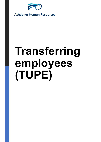

**Ashdown Human Resources** 

## Transferring employees (TUPE)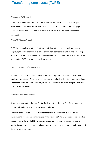## Transferring employees (TUPE)

When does TUPE apply?

TUPE applies when a new employer purchases the business for which an employee works or Transferring employees (TUPE)<br>When does TUPE apply?<br>TUPE applies when a new employer purchases the business for which an employee works or<br>when an employee works on a service which is transferred to another business (eg th service is outsourced, insourced or remains outsourced but is provided by another business.)

When TUPE doesn't apply

TUPE doesn't apply when there is a transfer of shares that doesn't entail a change of employer, transfers between public bodies or where services are split on a re-tendering exercise but are too "fragmented" to be easily identifiable. It is not possible for the parties to opt out of TUPE or agree that it will not apply.

Effect on contracts of employment

When TUPE applies the new employer (transferee) steps into the shoes of the former employer (transferor). The employee is entitled to retain all of their terms and conditions after the transfer, including continuity of service. The only exclusion is the provision of final salary pension schemes.

Dismissals and redundancies

Dismissal on account of the transfer itself will be automatically unfair. The new employer cannot pick and choose which employees to take on.

Contracts can be varied or redundancies made for a valid "economic, technical or organisational reasons entailing changes in the workforce". An ETO reason could include a reason relating the profitability of the new employer, the nature of the equipment or production processes or a reason related to the management or organisational structure of the employer's business.